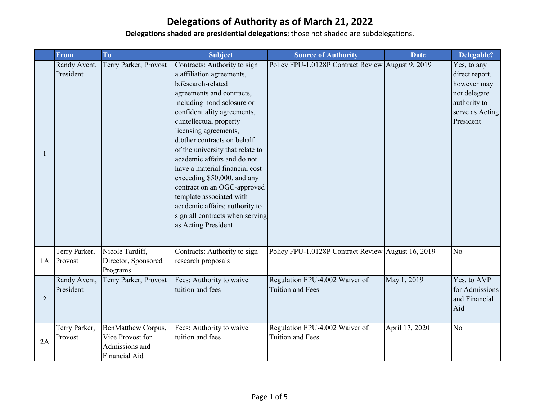|                | From                      | T <sub>o</sub>                                                            | <b>Subject</b>                                                                                                                                                                                                                                                                                                                                                                                                                                                                                                                                           | <b>Source of Authority</b>                                | <b>Date</b>    | Delegable?                                                                                                   |
|----------------|---------------------------|---------------------------------------------------------------------------|----------------------------------------------------------------------------------------------------------------------------------------------------------------------------------------------------------------------------------------------------------------------------------------------------------------------------------------------------------------------------------------------------------------------------------------------------------------------------------------------------------------------------------------------------------|-----------------------------------------------------------|----------------|--------------------------------------------------------------------------------------------------------------|
|                | Randy Avent,<br>President | Terry Parker, Provost                                                     | Contracts: Authority to sign<br>a. affiliation agreements,<br>b.research-related<br>agreements and contracts,<br>including nondisclosure or<br>confidentiality agreements,<br>c.intellectual property<br>licensing agreements,<br>d.other contracts on behalf<br>of the university that relate to<br>academic affairs and do not<br>have a material financial cost<br>exceeding \$50,000, and any<br>contract on an OGC-approved<br>template associated with<br>academic affairs; authority to<br>sign all contracts when serving<br>as Acting President | Policy FPU-1.0128P Contract Review August 9, 2019         |                | Yes, to any<br>direct report,<br>however may<br>not delegate<br>authority to<br>serve as Acting<br>President |
| 1A             | Terry Parker,<br>Provost  | Nicole Tardiff,<br>Director, Sponsored<br>Programs                        | Contracts: Authority to sign<br>research proposals                                                                                                                                                                                                                                                                                                                                                                                                                                                                                                       | Policy FPU-1.0128P Contract Review August 16, 2019        |                | N <sub>o</sub>                                                                                               |
| $\overline{2}$ | Randy Avent,<br>President | Terry Parker, Provost                                                     | Fees: Authority to waive<br>tuition and fees                                                                                                                                                                                                                                                                                                                                                                                                                                                                                                             | Regulation FPU-4.002 Waiver of<br><b>Tuition and Fees</b> | May 1, 2019    | Yes, to AVP<br>for Admissions<br>and Financial<br>Aid                                                        |
| 2A             | Terry Parker,<br>Provost  | BenMatthew Corpus,<br>Vice Provost for<br>Admissions and<br>Financial Aid | Fees: Authority to waive<br>tuition and fees                                                                                                                                                                                                                                                                                                                                                                                                                                                                                                             | Regulation FPU-4.002 Waiver of<br>Tuition and Fees        | April 17, 2020 | N <sub>o</sub>                                                                                               |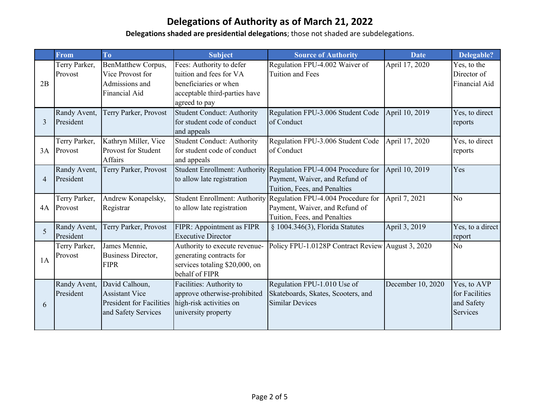|                | From                      | T <sub>o</sub>                                                                                    | <b>Subject</b>                                                                                                                 | <b>Source of Authority</b>                                                                                                         | <b>Date</b>       | Delegable?                                              |
|----------------|---------------------------|---------------------------------------------------------------------------------------------------|--------------------------------------------------------------------------------------------------------------------------------|------------------------------------------------------------------------------------------------------------------------------------|-------------------|---------------------------------------------------------|
| 2B             | Terry Parker,<br>Provost  | BenMatthew Corpus,<br>Vice Provost for<br>Admissions and<br>Financial Aid                         | Fees: Authority to defer<br>tuition and fees for VA<br>beneficiaries or when<br>acceptable third-parties have<br>agreed to pay | Regulation FPU-4.002 Waiver of<br>Tuition and Fees                                                                                 | April 17, 2020    | Yes, to the<br>Director of<br>Financial Aid             |
| $\overline{3}$ | Randy Avent,<br>President | Terry Parker, Provost                                                                             | <b>Student Conduct: Authority</b><br>for student code of conduct<br>and appeals                                                | Regulation FPU-3.006 Student Code<br>of Conduct                                                                                    | April 10, 2019    | Yes, to direct<br>reports                               |
| 3A             | Terry Parker,<br>Provost  | Kathryn Miller, Vice<br>Provost for Student<br>Affairs                                            | <b>Student Conduct: Authority</b><br>for student code of conduct<br>and appeals                                                | Regulation FPU-3.006 Student Code<br>of Conduct                                                                                    | April 17, 2020    | Yes, to direct<br>reports                               |
| $\overline{4}$ | Randy Avent,<br>President | Terry Parker, Provost                                                                             | to allow late registration                                                                                                     | Student Enrollment: Authority Regulation FPU-4.004 Procedure for<br>Payment, Waiver, and Refund of<br>Tuition, Fees, and Penalties | April 10, 2019    | Yes                                                     |
| 4A             | Terry Parker,<br>Provost  | Andrew Konapelsky,<br>Registrar                                                                   | to allow late registration                                                                                                     | Student Enrollment: Authority Regulation FPU-4.004 Procedure for<br>Payment, Waiver, and Refund of<br>Tuition, Fees, and Penalties | April 7, 2021     | N <sub>o</sub>                                          |
| 5              | Randy Avent,<br>President | Terry Parker, Provost                                                                             | FIPR: Appointment as FIPR<br><b>Executive Director</b>                                                                         | § 1004.346(3), Florida Statutes                                                                                                    | April 3, 2019     | Yes, to a direct<br>report                              |
| 1A             | Terry Parker,<br>Provost  | James Mennie,<br>Business Director,<br><b>FIPR</b>                                                | Authority to execute revenue-<br>generating contracts for<br>services totaling \$20,000, on<br>behalf of FIPR                  | Policy FPU-1.0128P Contract Review August 3, 2020                                                                                  |                   | N <sub>o</sub>                                          |
| 6              | Randy Avent,<br>President | David Calhoun,<br><b>Assistant Vice</b><br><b>President for Facilities</b><br>and Safety Services | Facilities: Authority to<br>approve otherwise-prohibited<br>high-risk activities on<br>university property                     | Regulation FPU-1.010 Use of<br>Skateboards, Skates, Scooters, and<br><b>Similar Devices</b>                                        | December 10, 2020 | Yes, to AVP<br>for Facilities<br>and Safety<br>Services |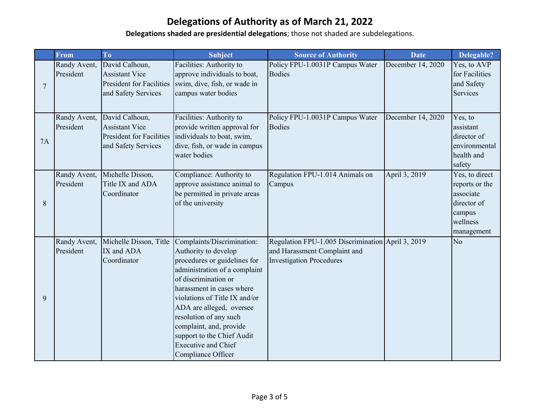|                | From                      | T <sub>o</sub>                                                                                    | <b>Subject</b>                                                                                                                                                                                                                                                                                                                                                               | <b>Source of Authority</b>                                                                                           | <b>Date</b>       | Delegable?                                                                                       |
|----------------|---------------------------|---------------------------------------------------------------------------------------------------|------------------------------------------------------------------------------------------------------------------------------------------------------------------------------------------------------------------------------------------------------------------------------------------------------------------------------------------------------------------------------|----------------------------------------------------------------------------------------------------------------------|-------------------|--------------------------------------------------------------------------------------------------|
| $\overline{7}$ | Randy Avent,<br>President | David Calhoun,<br><b>Assistant Vice</b><br><b>President for Facilities</b><br>and Safety Services | Facilities: Authority to<br>approve individuals to boat,<br>swim, dive, fish, or wade in<br>campus water bodies                                                                                                                                                                                                                                                              | Policy FPU-1.0031P Campus Water<br><b>Bodies</b>                                                                     | December 14, 2020 | Yes, to AVP<br>for Facilities<br>and Safety<br>Services                                          |
| 7A             | Randy Avent,<br>President | David Calhoun,<br><b>Assistant Vice</b><br><b>President for Facilities</b><br>and Safety Services | Facilities: Authority to<br>provide written approval for<br>individuals to boat, swim,<br>dive, fish, or wade in campus<br>water bodies                                                                                                                                                                                                                                      | Policy FPU-1.0031P Campus Water<br><b>Bodies</b>                                                                     | December 14, 2020 | Yes, to<br>assistant<br>director of<br>environmental<br>health and<br>safety                     |
| 8              | Randy Avent,<br>President | Michelle Disson,<br>Title IX and ADA<br>Coordinator                                               | Compliance: Authority to<br>approve assistance animal to<br>be permitted in private areas<br>of the university                                                                                                                                                                                                                                                               | Regulation FPU-1.014 Animals on<br>Campus                                                                            | April 3, 2019     | Yes, to direct<br>reports or the<br>associate<br>director of<br>campus<br>wellness<br>management |
| 9              | Randy Avent,<br>President | Michelle Disson, Title<br>IX and ADA<br>Coordinator                                               | Complaints/Discrimination:<br>Authority to develop<br>procedures or guidelines for<br>administration of a complaint<br>of discrimination or<br>harassment in cases where<br>violations of Title IX and/or<br>ADA are alleged, oversee<br>resolution of any such<br>complaint, and, provide<br>support to the Chief Audit<br><b>Executive and Chief</b><br>Compliance Officer | Regulation FPU-1.005 Discrimination April 3, 2019<br>and Harassment Complaint and<br><b>Investigation Procedures</b> |                   | N <sub>o</sub>                                                                                   |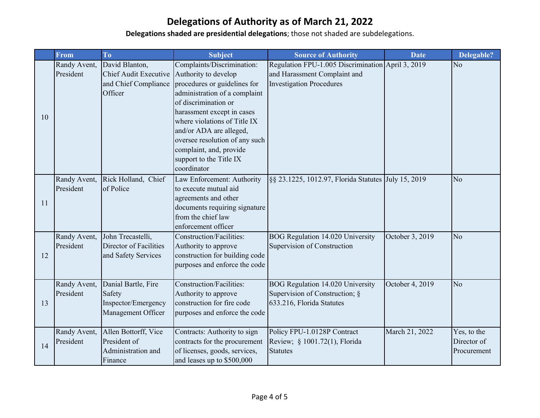|    | <b>From</b>  | T <sub>o</sub>                              | <b>Subject</b>                                         | <b>Source of Authority</b>                          | <b>Date</b>     | Delegable?     |
|----|--------------|---------------------------------------------|--------------------------------------------------------|-----------------------------------------------------|-----------------|----------------|
|    | Randy Avent, | David Blanton,                              | Complaints/Discrimination:                             | Regulation FPU-1.005 Discrimination April 3, 2019   |                 | N <sub>o</sub> |
|    | President    | <b>Chief Audit Executive</b>                | Authority to develop                                   | and Harassment Complaint and                        |                 |                |
|    |              | and Chief Compliance                        | procedures or guidelines for                           | <b>Investigation Procedures</b>                     |                 |                |
|    |              | Officer                                     | administration of a complaint                          |                                                     |                 |                |
|    |              |                                             | of discrimination or                                   |                                                     |                 |                |
| 10 |              |                                             | harassment except in cases                             |                                                     |                 |                |
|    |              |                                             | where violations of Title IX                           |                                                     |                 |                |
|    |              |                                             | and/or ADA are alleged,                                |                                                     |                 |                |
|    |              |                                             | oversee resolution of any such                         |                                                     |                 |                |
|    |              |                                             | complaint, and, provide                                |                                                     |                 |                |
|    |              |                                             | support to the Title IX                                |                                                     |                 |                |
|    |              |                                             | coordinator                                            |                                                     |                 |                |
|    | Randy Avent, | Rick Holland, Chief                         | Law Enforcement: Authority                             | §§ 23.1225, 1012.97, Florida Statutes July 15, 2019 |                 | No             |
|    | President    | of Police                                   | to execute mutual aid                                  |                                                     |                 |                |
| 11 |              |                                             | agreements and other                                   |                                                     |                 |                |
|    |              |                                             | documents requiring signature                          |                                                     |                 |                |
|    |              |                                             | from the chief law                                     |                                                     |                 |                |
|    |              |                                             | enforcement officer                                    |                                                     |                 |                |
|    | Randy Avent, | John Trecastelli,<br>Director of Facilities | Construction/Facilities:                               | BOG Regulation 14.020 University                    | October 3, 2019 | N <sub>o</sub> |
| 12 | President    | and Safety Services                         | Authority to approve<br>construction for building code | Supervision of Construction                         |                 |                |
|    |              |                                             | purposes and enforce the code                          |                                                     |                 |                |
|    |              |                                             |                                                        |                                                     |                 |                |
|    | Randy Avent, | Danial Bartle, Fire                         | <b>Construction/Facilities:</b>                        | BOG Regulation 14.020 University                    | October 4, 2019 | N <sub>o</sub> |
|    | President    | Safety                                      | Authority to approve                                   | Supervision of Construction; §                      |                 |                |
| 13 |              | Inspector/Emergency                         | construction for fire code                             | 633.216, Florida Statutes                           |                 |                |
|    |              | Management Officer                          | purposes and enforce the code                          |                                                     |                 |                |
|    |              |                                             |                                                        |                                                     |                 |                |
|    | Randy Avent, | Allen Bottorff, Vice                        | Contracts: Authority to sign                           | Policy FPU-1.0128P Contract                         | March 21, 2022  | Yes, to the    |
| 14 | President    | President of                                | contracts for the procurement                          | Review; § 1001.72(1), Florida                       |                 | Director of    |
|    |              | Administration and                          | of licenses, goods, services,                          | <b>Statutes</b>                                     |                 | Procurement    |
|    |              | Finance                                     | and leases up to \$500,000                             |                                                     |                 |                |